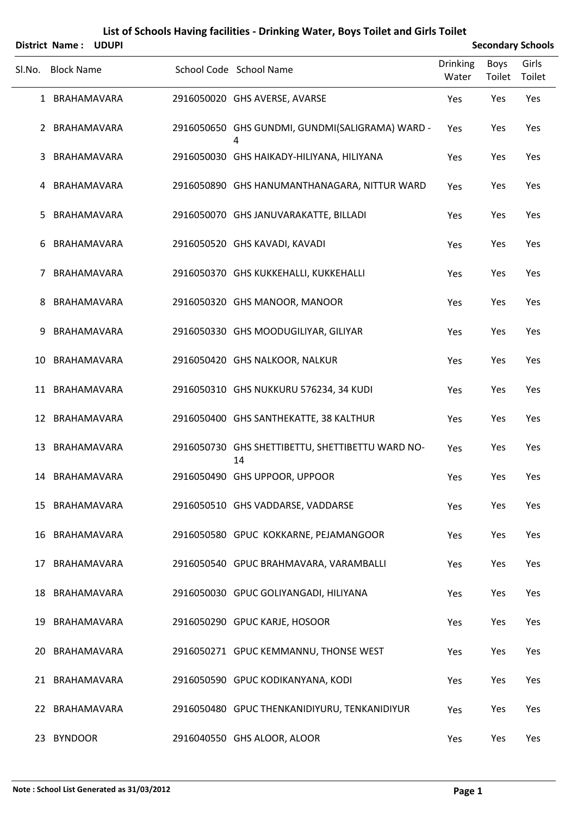|        | District Name: UDUPI |  |                                                        |                          |                | <b>Secondary Schools</b> |
|--------|----------------------|--|--------------------------------------------------------|--------------------------|----------------|--------------------------|
| SI.No. | <b>Block Name</b>    |  | School Code School Name                                | <b>Drinking</b><br>Water | Boys<br>Toilet | Girls<br>Toilet          |
|        | 1 BRAHAMAVARA        |  | 2916050020 GHS AVERSE, AVARSE                          | Yes                      | Yes            | Yes                      |
| 2      | BRAHAMAVARA          |  | 2916050650 GHS GUNDMI, GUNDMI(SALIGRAMA) WARD -<br>4   | Yes                      | Yes            | Yes                      |
| 3      | BRAHAMAVARA          |  | 2916050030 GHS HAIKADY-HILIYANA, HILIYANA              | Yes                      | Yes            | Yes                      |
| 4      | BRAHAMAVARA          |  | 2916050890 GHS HANUMANTHANAGARA, NITTUR WARD           | Yes                      | Yes            | Yes                      |
| 5.     | BRAHAMAVARA          |  | 2916050070 GHS JANUVARAKATTE, BILLADI                  | Yes                      | Yes            | Yes                      |
| 6      | BRAHAMAVARA          |  | 2916050520 GHS KAVADI, KAVADI                          | Yes                      | Yes            | Yes                      |
| 7      | BRAHAMAVARA          |  | 2916050370 GHS KUKKEHALLI, KUKKEHALLI                  | Yes                      | Yes            | Yes                      |
| 8      | BRAHAMAVARA          |  | 2916050320 GHS MANOOR, MANOOR                          | Yes                      | Yes            | Yes                      |
| 9      | BRAHAMAVARA          |  | 2916050330 GHS MOODUGILIYAR, GILIYAR                   | Yes                      | Yes            | Yes                      |
| 10     | BRAHAMAVARA          |  | 2916050420 GHS NALKOOR, NALKUR                         | Yes                      | Yes            | Yes                      |
|        | 11 BRAHAMAVARA       |  | 2916050310 GHS NUKKURU 576234, 34 KUDI                 | Yes                      | Yes            | Yes                      |
|        | 12 BRAHAMAVARA       |  | 2916050400 GHS SANTHEKATTE, 38 KALTHUR                 | Yes                      | Yes            | Yes                      |
| 13     | BRAHAMAVARA          |  | 2916050730 GHS SHETTIBETTU, SHETTIBETTU WARD NO-<br>14 | Yes                      | Yes            | Yes                      |
|        | 14 BRAHAMAVARA       |  | 2916050490 GHS UPPOOR, UPPOOR                          | Yes                      | Yes            | Yes                      |
|        | 15 BRAHAMAVARA       |  | 2916050510 GHS VADDARSE, VADDARSE                      | Yes                      | Yes            | Yes                      |
|        | 16 BRAHAMAVARA       |  | 2916050580 GPUC KOKKARNE, PEJAMANGOOR                  | Yes                      | Yes            | Yes                      |
| 17     | BRAHAMAVARA          |  | 2916050540 GPUC BRAHMAVARA, VARAMBALLI                 | Yes                      | Yes            | Yes                      |
|        | 18 BRAHAMAVARA       |  | 2916050030 GPUC GOLIYANGADI, HILIYANA                  | Yes                      | Yes            | Yes                      |
| 19     | BRAHAMAVARA          |  | 2916050290 GPUC KARJE, HOSOOR                          | Yes                      | Yes            | Yes                      |
| 20.    | BRAHAMAVARA          |  | 2916050271 GPUC KEMMANNU, THONSE WEST                  | Yes                      | Yes            | Yes                      |
|        | 21 BRAHAMAVARA       |  | 2916050590 GPUC KODIKANYANA, KODI                      | Yes                      | Yes            | Yes                      |
|        | 22 BRAHAMAVARA       |  | 2916050480 GPUC THENKANIDIYURU, TENKANIDIYUR           | Yes                      | Yes            | Yes                      |
| 23.    | <b>BYNDOOR</b>       |  | 2916040550 GHS ALOOR, ALOOR                            | Yes                      | Yes            | Yes                      |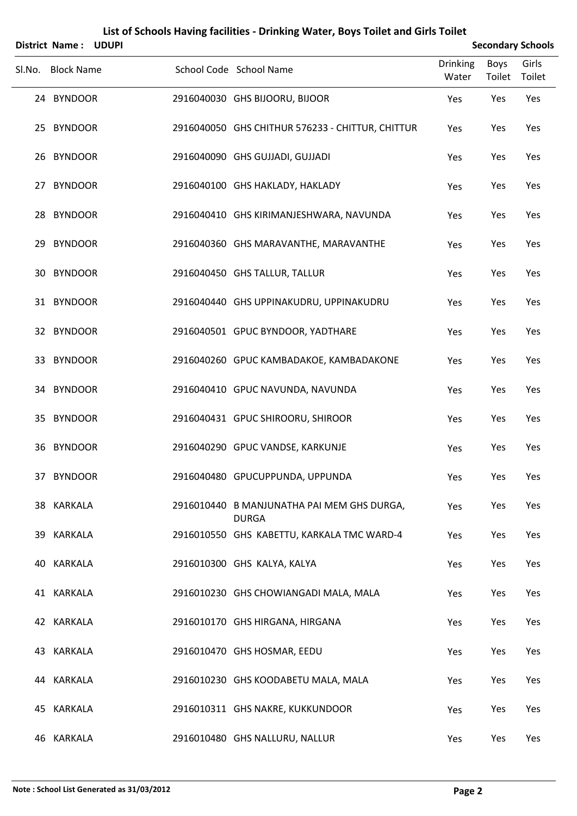| District Name: UDUPI |  |                                                            |                   |                | <b>Secondary Schools</b> |
|----------------------|--|------------------------------------------------------------|-------------------|----------------|--------------------------|
| Sl.No. Block Name    |  | School Code School Name                                    | Drinking<br>Water | Boys<br>Toilet | Girls<br>Toilet          |
| 24 BYNDOOR           |  | 2916040030 GHS BIJOORU, BIJOOR                             | Yes               | Yes            | Yes                      |
| 25 BYNDOOR           |  | 2916040050 GHS CHITHUR 576233 - CHITTUR, CHITTUR           | Yes               | Yes            | Yes                      |
| 26 BYNDOOR           |  | 2916040090 GHS GUJJADI, GUJJADI                            | Yes               | Yes            | Yes                      |
| 27 BYNDOOR           |  | 2916040100 GHS HAKLADY, HAKLADY                            | Yes               | Yes            | Yes                      |
| 28 BYNDOOR           |  | 2916040410 GHS KIRIMANJESHWARA, NAVUNDA                    | Yes               | Yes            | Yes                      |
| 29 BYNDOOR           |  | 2916040360 GHS MARAVANTHE, MARAVANTHE                      | Yes               | Yes            | Yes                      |
| 30 BYNDOOR           |  | 2916040450 GHS TALLUR, TALLUR                              | Yes               | Yes            | Yes                      |
| 31 BYNDOOR           |  | 2916040440 GHS UPPINAKUDRU, UPPINAKUDRU                    | Yes               | Yes            | Yes                      |
| 32 BYNDOOR           |  | 2916040501 GPUC BYNDOOR, YADTHARE                          | Yes               | Yes            | Yes                      |
| 33 BYNDOOR           |  | 2916040260 GPUC KAMBADAKOE, KAMBADAKONE                    | Yes               | Yes            | Yes                      |
| 34 BYNDOOR           |  | 2916040410 GPUC NAVUNDA, NAVUNDA                           | Yes               | Yes            | Yes                      |
| 35 BYNDOOR           |  | 2916040431 GPUC SHIROORU, SHIROOR                          | Yes               | Yes            | Yes                      |
| 36 BYNDOOR           |  | 2916040290 GPUC VANDSE, KARKUNJE                           | Yes               | Yes            | Yes                      |
| 37 BYNDOOR           |  | 2916040480 GPUCUPPUNDA, UPPUNDA                            | Yes               | Yes            | Yes                      |
| 38 KARKALA           |  | 2916010440 B MANJUNATHA PAI MEM GHS DURGA,<br><b>DURGA</b> | Yes               | Yes            | Yes                      |
| 39 KARKALA           |  | 2916010550 GHS KABETTU, KARKALA TMC WARD-4                 | Yes               | Yes            | Yes                      |
| 40 KARKALA           |  | 2916010300 GHS KALYA, KALYA                                | Yes               | Yes            | Yes                      |
| 41 KARKALA           |  | 2916010230 GHS CHOWIANGADI MALA, MALA                      | Yes               | Yes            | Yes                      |
| 42 KARKALA           |  | 2916010170 GHS HIRGANA, HIRGANA                            | Yes               | Yes            | Yes                      |
| 43 KARKALA           |  | 2916010470 GHS HOSMAR, EEDU                                | Yes               | Yes            | Yes                      |
| 44 KARKALA           |  | 2916010230 GHS KOODABETU MALA, MALA                        | Yes               | Yes            | Yes                      |
| 45 KARKALA           |  | 2916010311 GHS NAKRE, KUKKUNDOOR                           | Yes               | Yes            | Yes                      |
| 46 KARKALA           |  | 2916010480 GHS NALLURU, NALLUR                             | Yes               | Yes            | Yes                      |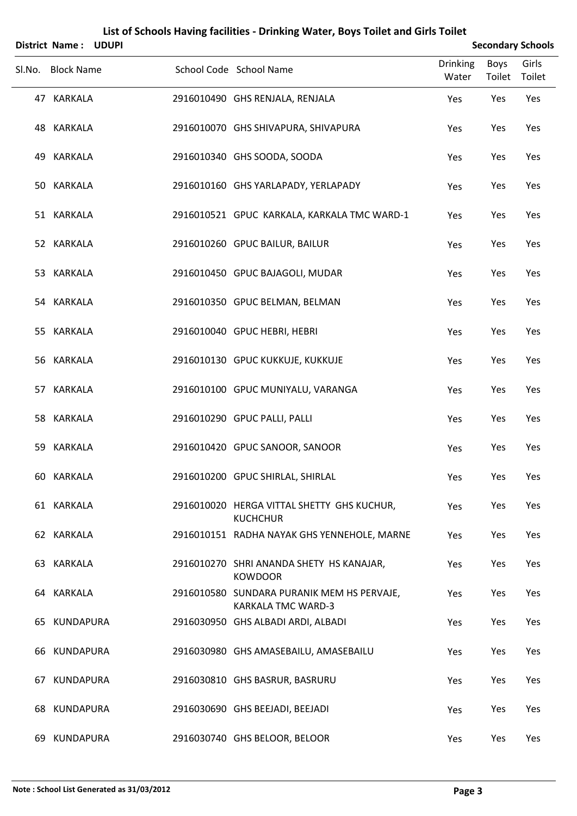| District Name: UDUPI |                                                                         |                   |                | <b>Secondary Schools</b> |
|----------------------|-------------------------------------------------------------------------|-------------------|----------------|--------------------------|
| Sl.No. Block Name    | School Code School Name                                                 | Drinking<br>Water | Boys<br>Toilet | Girls<br>Toilet          |
| 47 KARKALA           | 2916010490 GHS RENJALA, RENJALA                                         | Yes               | Yes            | Yes                      |
| 48 KARKALA           | 2916010070 GHS SHIVAPURA, SHIVAPURA                                     | Yes               | Yes            | Yes                      |
| 49 KARKALA           | 2916010340 GHS SOODA, SOODA                                             | Yes               | Yes            | Yes                      |
| 50 KARKALA           | 2916010160 GHS YARLAPADY, YERLAPADY                                     | Yes               | Yes            | Yes                      |
| 51 KARKALA           | 2916010521 GPUC KARKALA, KARKALA TMC WARD-1                             | Yes               | Yes            | Yes                      |
| 52 KARKALA           | 2916010260 GPUC BAILUR, BAILUR                                          | Yes               | Yes            | Yes                      |
| 53 KARKALA           | 2916010450 GPUC BAJAGOLI, MUDAR                                         | Yes               | Yes            | Yes                      |
| 54 KARKALA           | 2916010350 GPUC BELMAN, BELMAN                                          | Yes               | Yes            | Yes                      |
| 55 KARKALA           | 2916010040 GPUC HEBRI, HEBRI                                            | Yes               | Yes            | Yes                      |
| 56 KARKALA           | 2916010130 GPUC KUKKUJE, KUKKUJE                                        | Yes               | Yes            | Yes                      |
| 57 KARKALA           | 2916010100 GPUC MUNIYALU, VARANGA                                       | Yes               | Yes            | Yes                      |
| 58 KARKALA           | 2916010290 GPUC PALLI, PALLI                                            | Yes               | Yes            | Yes                      |
| 59 KARKALA           | 2916010420 GPUC SANOOR, SANOOR                                          | Yes               | Yes            | Yes                      |
| 60 KARKALA           | 2916010200 GPUC SHIRLAL, SHIRLAL                                        | Yes               | Yes            | Yes                      |
| 61 KARKALA           | 2916010020 HERGA VITTAL SHETTY GHS KUCHUR,<br><b>KUCHCHUR</b>           | Yes               | Yes            | Yes                      |
| 62 KARKALA           | 2916010151 RADHA NAYAK GHS YENNEHOLE, MARNE                             | Yes               | Yes            | Yes                      |
| 63 KARKALA           | 2916010270 SHRI ANANDA SHETY HS KANAJAR,<br><b>KOWDOOR</b>              | Yes               | Yes            | Yes                      |
| 64 KARKALA           | 2916010580 SUNDARA PURANIK MEM HS PERVAJE,<br><b>KARKALA TMC WARD-3</b> | Yes               | Yes            | Yes                      |
| 65 KUNDAPURA         | 2916030950 GHS ALBADI ARDI, ALBADI                                      | Yes               | Yes            | Yes                      |
| 66 KUNDAPURA         | 2916030980 GHS AMASEBAILU, AMASEBAILU                                   | Yes               | Yes            | Yes                      |
| 67 KUNDAPURA         | 2916030810 GHS BASRUR, BASRURU                                          | Yes               | Yes            | Yes                      |
| 68 KUNDAPURA         | 2916030690 GHS BEEJADI, BEEJADI                                         | Yes               | Yes            | Yes                      |
| 69 KUNDAPURA         | 2916030740 GHS BELOOR, BELOOR                                           | Yes               | Yes            | Yes                      |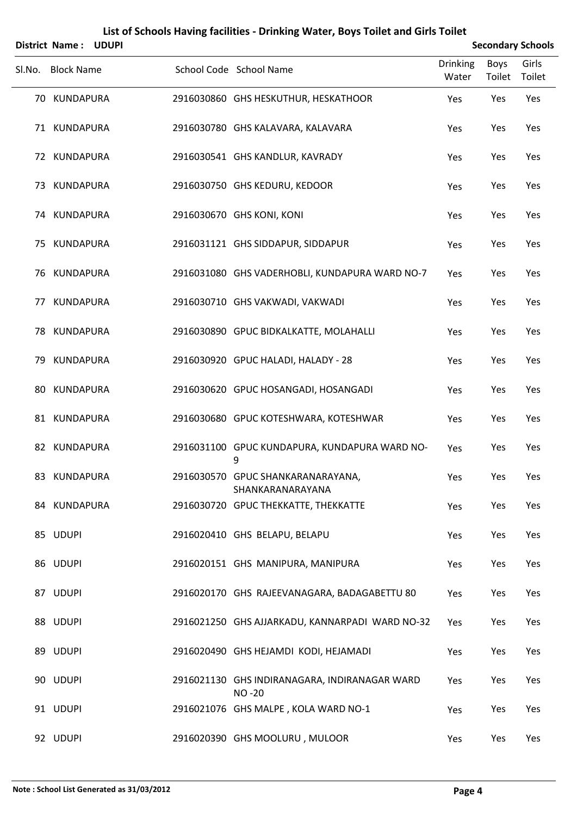|        | District Name:    | <b>UDUPI</b> |                                                               |                          |                | <b>Secondary Schools</b> |
|--------|-------------------|--------------|---------------------------------------------------------------|--------------------------|----------------|--------------------------|
| Sl.No. | <b>Block Name</b> |              | School Code School Name                                       | <b>Drinking</b><br>Water | Boys<br>Toilet | Girls<br>Toilet          |
|        | 70 KUNDAPURA      |              | 2916030860 GHS HESKUTHUR, HESKATHOOR                          | Yes                      | Yes            | Yes                      |
|        | 71 KUNDAPURA      |              | 2916030780 GHS KALAVARA, KALAVARA                             | Yes                      | Yes            | Yes                      |
|        | 72 KUNDAPURA      |              | 2916030541 GHS KANDLUR, KAVRADY                               | Yes                      | Yes            | Yes                      |
|        | 73 KUNDAPURA      |              | 2916030750 GHS KEDURU, KEDOOR                                 | Yes                      | Yes            | Yes                      |
|        | 74 KUNDAPURA      |              | 2916030670 GHS KONI, KONI                                     | Yes                      | Yes            | Yes                      |
|        | 75 KUNDAPURA      |              | 2916031121 GHS SIDDAPUR, SIDDAPUR                             | Yes                      | Yes            | Yes                      |
|        | 76 KUNDAPURA      |              | 2916031080 GHS VADERHOBLI, KUNDAPURA WARD NO-7                | Yes                      | Yes            | Yes                      |
|        | 77 KUNDAPURA      |              | 2916030710 GHS VAKWADI, VAKWADI                               | Yes                      | Yes            | Yes                      |
|        | 78 KUNDAPURA      |              | 2916030890 GPUC BIDKALKATTE, MOLAHALLI                        | Yes                      | Yes            | Yes                      |
|        | 79 KUNDAPURA      |              | 2916030920 GPUC HALADI, HALADY - 28                           | Yes                      | Yes            | Yes                      |
| 80     | KUNDAPURA         |              | 2916030620 GPUC HOSANGADI, HOSANGADI                          | Yes                      | Yes            | Yes                      |
|        | 81 KUNDAPURA      |              | 2916030680 GPUC KOTESHWARA, KOTESHWAR                         | Yes                      | Yes            | Yes                      |
|        | 82 KUNDAPURA      |              | 2916031100 GPUC KUNDAPURA, KUNDAPURA WARD NO-<br>9            | Yes                      | Yes            | Yes                      |
|        | 83 KUNDAPURA      |              | 2916030570 GPUC SHANKARANARAYANA,<br>SHANKARANARAYANA         | Yes                      | Yes            | Yes                      |
|        | 84 KUNDAPURA      |              | 2916030720 GPUC THEKKATTE, THEKKATTE                          | Yes                      | Yes            | Yes                      |
|        | 85 UDUPI          |              | 2916020410 GHS BELAPU, BELAPU                                 | Yes                      | Yes            | Yes                      |
|        | 86 UDUPI          |              | 2916020151 GHS MANIPURA, MANIPURA                             | Yes                      | Yes            | Yes                      |
|        | 87 UDUPI          |              | 2916020170 GHS RAJEEVANAGARA, BADAGABETTU 80                  | Yes                      | Yes            | Yes                      |
|        | 88 UDUPI          |              | 2916021250 GHS AJJARKADU, KANNARPADI WARD NO-32               | Yes                      | Yes            | Yes                      |
|        | 89 UDUPI          |              | 2916020490 GHS HEJAMDI KODI, HEJAMADI                         | Yes                      | Yes            | Yes                      |
|        | 90 UDUPI          |              | 2916021130 GHS INDIRANAGARA, INDIRANAGAR WARD<br><b>NO-20</b> | Yes                      | Yes            | Yes                      |
|        | 91 UDUPI          |              | 2916021076 GHS MALPE, KOLA WARD NO-1                          | Yes                      | Yes            | Yes                      |
|        | 92 UDUPI          |              | 2916020390 GHS MOOLURU, MULOOR                                | Yes                      | Yes            | Yes                      |